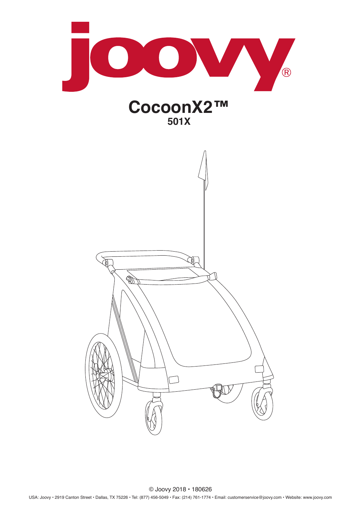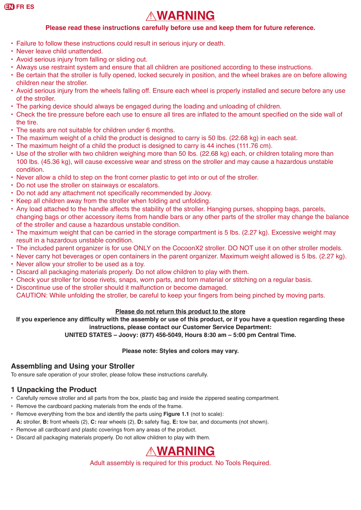# ! **WARNING**

#### **Please read these instructions carefully before use and keep them for future reference.**

- Failure to follow these instructions could result in serious injury or death.
- Never leave child unattended.
- Avoid serious injury from falling or sliding out.
- Always use restraint system and ensure that all children are positioned according to these instructions.
- Be certain that the stroller is fully opened, locked securely in position, and the wheel brakes are on before allowing children near the stroller.
- Avoid serious injury from the wheels falling off. Ensure each wheel is properly installed and secure before any use of the stroller.
- The parking device should always be engaged during the loading and unloading of children.
- Check the tire pressure before each use to ensure all tires are inflated to the amount specified on the side wall of the tire.
- The seats are not suitable for children under 6 months.
- The maximum weight of a child the product is designed to carry is 50 lbs. (22.68 kg) in each seat.
- The maximum height of a child the product is designed to carry is 44 inches (111.76 cm).
- Use of the stroller with two children weighing more than 50 lbs. (22.68 kg) each, or children totaling more than 100 lbs. (45.36 kg), will cause excessive wear and stress on the stroller and may cause a hazardous unstable condition.
- Never allow a child to step on the front corner plastic to get into or out of the stroller.
- Do not use the stroller on stairways or escalators.
- Do not add any attachment not specifically recommended by Joovy.
- Keep all children away from the stroller when folding and unfolding.
- Any load attached to the handle affects the stability of the stroller. Hanging purses, shopping bags, parcels, changing bags or other accessory items from handle bars or any other parts of the stroller may change the balance of the stroller and cause a hazardous unstable condition.
- The maximum weight that can be carried in the storage compartment is 5 lbs. (2.27 kg). Excessive weight may result in a hazardous unstable condition.
- The included parent organizer is for use ONLY on the CocoonX2 stroller. DO NOT use it on other stroller models.
- Never carry hot beverages or open containers in the parent organizer. Maximum weight allowed is 5 lbs. (2.27 kg).
- Never allow your stroller to be used as a toy.
- Discard all packaging materials properly. Do not allow children to play with them.
- Check your stroller for loose rivets, snaps, worn parts, and torn material or stitching on a regular basis.
- Discontinue use of the stroller should it malfunction or become damaged.
- CAUTION: While unfolding the stroller, be careful to keep your fingers from being pinched by moving parts.

#### **Please do not return this product to the store**

**If you experience any difficulty with the assembly or use of this product, or if you have a question regarding these instructions, please contact our Customer Service Department:**

#### **UNITED STATES – Joovy: (877) 456-5049, Hours 8:30 am – 5:00 pm Central Time.**

#### **Please note: Styles and colors may vary.**

#### **Assembling and Using your Stroller**

To ensure safe operation of your stroller, please follow these instructions carefully.

#### **1 Unpacking the Product**

- Carefully remove stroller and all parts from the box, plastic bag and inside the zippered seating compartment.
- Remove the cardboard packing materials from the ends of the frame.
- Remove everything from the box and identify the parts using **Figure 1.1** (not to scale): **A:** stroller, **B:** front wheels (2), **C:** rear wheels (2), **D:** safety flag, **E:** tow bar, and documents (not shown).
- Remove all cardboard and plastic coverings from any areas of the product.
- Discard all packaging materials properly. Do not allow children to play with them.

## ! **WARNING**

Adult assembly is required for this product. No Tools Required.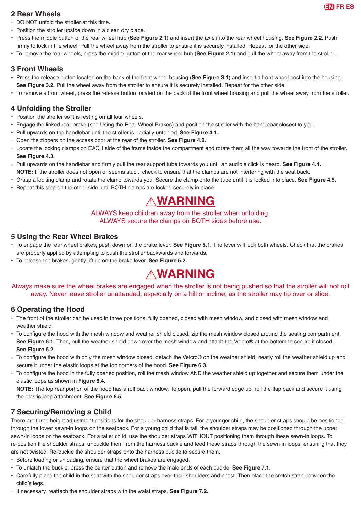

#### **2 Rear Wheels**

- DO NOT unfold the stroller at this time.
- Position the stroller upside down in a clean dry place.
- Press the middle button of the rear wheel hub (**See Figure 2.1**) and insert the axle into the rear wheel housing. **See Figure 2.2.** Push firmly to lock in the wheel. Pull the wheel away from the stroller to ensure it is securely installed. Repeat for the other side.
- To remove the rear wheels, press the middle button of the rear wheel hub (**See Figure 2.1**) and pull the wheel away from the stroller.

#### **3 Front Wheels**

- Press the release button located on the back of the front wheel housing (**See Figure 3.1**) and insert a front wheel post into the housing. **See Figure 3.2.** Pull the wheel away from the stroller to ensure it is securely installed. Repeat for the other side.
- To remove a front wheel, press the release button located on the back of the front wheel housing and pull the wheel away from the stroller.

#### **4 Unfolding the Stroller**

- Position the stroller so it is resting on all four wheels.
- Engage the linked rear brake (see Using the Rear Wheel Brakes) and position the stroller with the handlebar closest to you.
- Pull upwards on the handlebar until the stroller is partially unfolded. **See Figure 4.1.**
- Open the zippers on the access door at the rear of the stroller. **See Figure 4.2.**
- Locate the locking clamps on EACH side of the frame inside the compartment and rotate them all the way towards the front of the stroller. **See Figure 4.3.**
- • Pull upwards on the handlebar and firmly pull the rear support tube towards you until an audible click is heard. **See Figure 4.4. NOTE:** If the stroller does not open or seems stuck, check to ensure that the clamps are not interfering with the seat back.
- Grasp a locking clamp and rotate the clamp towards you. Secure the clamp onto the tube until it is locked into place. **See Figure 4.5.**
- Repeat this step on the other side until BOTH clamps are locked securely in place.

## ! **WARNING**

#### ALWAYS keep children away from the stroller when unfolding. ALWAYS secure the clamps on BOTH sides before use.

#### **5 Using the Rear Wheel Brakes**

- To engage the rear wheel brakes, push down on the brake lever. **See Figure 5.1.** The lever will lock both wheels. Check that the brakes are properly applied by attempting to push the stroller backwards and forwards.
- To release the brakes, gently lift up on the brake lever. **See Figure 5.2.**

## ! **WARNING**

#### Always make sure the wheel brakes are engaged when the stroller is not being pushed so that the stroller will not roll away. Never leave stroller unattended, especially on a hill or incline, as the stroller may tip over or slide.

#### **6 Operating the Hood**

- The front of the stroller can be used in three positions: fully opened, closed with mesh window, and closed with mesh window and weather shield.
- • To configure the hood with the mesh window and weather shield closed, zip the mesh window closed around the seating compartment. **See Figure 6.1.** Then, pull the weather shield down over the mesh window and attach the Velcro® at the bottom to secure it closed. **See Figure 6.2.**
- To configure the hood with only the mesh window closed, detach the Velcro® on the weather shield, neatly roll the weather shield up and secure it under the elastic loops at the top corners of the hood. **See Figure 6.3.**
- • To configure the hood in the fully opened position, roll the mesh window AND the weather shield up together and secure them under the elastic loops as shown in **Figure 6.4.**

**NOTE:** The top rear portion of the hood has a roll back window. To open, pull the forward edge up, roll the flap back and secure it using the elastic loop attachment. **See Figure 6.5.**

#### **7 Securing/Removing a Child**

There are three height adjustment positions for the shoulder harness straps. For a younger child, the shoulder straps should be positioned through the lower sewn-in loops on the seatback. For a young child that is tall, the shoulder straps may be positioned through the upper sewn-in loops on the seatback. For a taller child, use the shoulder straps WITHOUT positioning them through these sewn-in loops. To re-position the shoulder straps, unbuckle them from the harness buckle and feed these straps through the sewn-in loops, ensuring that they are not twisted. Re-buckle the shoulder straps onto the harness buckle to secure them.

- Before loading or unloading, ensure that the wheel brakes are engaged.
- To unlatch the buckle, press the center button and remove the male ends of each buckle. **See Figure 7.1.**
- Carefully place the child in the seat with the shoulder straps over their shoulders and chest. Then place the crotch strap between the child's legs.
- If necessary, reattach the shoulder straps with the waist straps. **See Figure 7.2.**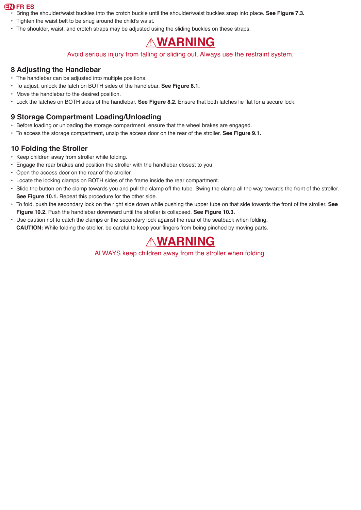- Bring the shoulder/waist buckles into the crotch buckle until the shoulder/waist buckles snap into place. **See Figure 7.3.**
- Tighten the waist belt to be snug around the child's waist.
- The shoulder, waist, and crotch straps may be adjusted using the sliding buckles on these straps.

### ! **WARNING**

#### Avoid serious injury from falling or sliding out. Always use the restraint system.

#### **8 Adjusting the Handlebar**

- The handlebar can be adjusted into multiple positions.
- To adjust, unlock the latch on BOTH sides of the handlebar. **See Figure 8.1.**
- Move the handlebar to the desired position.
- Lock the latches on BOTH sides of the handlebar. **See Figure 8.2.** Ensure that both latches lie flat for a secure lock.

#### **9 Storage Compartment Loading/Unloading**

- Before loading or unloading the storage compartment, ensure that the wheel brakes are engaged.
- To access the storage compartment, unzip the access door on the rear of the stroller. **See Figure 9.1.**

#### **10 Folding the Stroller**

- Keep children away from stroller while folding.
- Engage the rear brakes and position the stroller with the handlebar closest to you.
- Open the access door on the rear of the stroller.
- Locate the locking clamps on BOTH sides of the frame inside the rear compartment.
- Slide the button on the clamp towards you and pull the clamp off the tube. Swing the clamp all the way towards the front of the stroller. **See Figure 10.1.** Repeat this procedure for the other side.
- To fold, push the secondary lock on the right side down while pushing the upper tube on that side towards the front of the stroller. **See Figure 10.2.** Push the handlebar downward until the stroller is collapsed. **See Figure 10.3.**
- Use caution not to catch the clamps or the secondary lock against the rear of the seatback when folding. **CAUTION:** While folding the stroller, be careful to keep your fingers from being pinched by moving parts.

### ! **WARNING**

ALWAYS keep children away from the stroller when folding.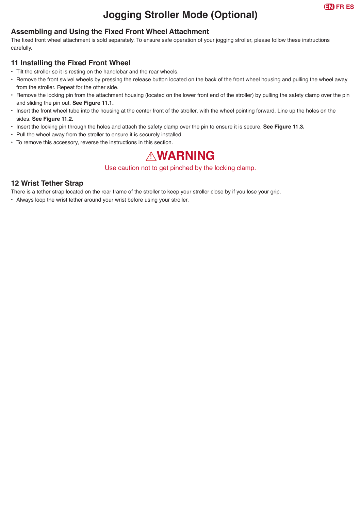### **Jogging Stroller Mode (Optional)**

#### **Assembling and Using the Fixed Front Wheel Attachment**

The fixed front wheel attachment is sold separately. To ensure safe operation of your jogging stroller, please follow these instructions carefully.

#### **11 Installing the Fixed Front Wheel**

- Tilt the stroller so it is resting on the handlebar and the rear wheels.
- Remove the front swivel wheels by pressing the release button located on the back of the front wheel housing and pulling the wheel away from the stroller. Repeat for the other side.
- Remove the locking pin from the attachment housing (located on the lower front end of the stroller) by pulling the safety clamp over the pin and sliding the pin out. **See Figure 11.1.**
- Insert the front wheel tube into the housing at the center front of the stroller, with the wheel pointing forward. Line up the holes on the sides. **See Figure 11.2.**
- Insert the locking pin through the holes and attach the safety clamp over the pin to ensure it is secure. **See Figure 11.3.**
- Pull the wheel away from the stroller to ensure it is securely installed.
- To remove this accessory, reverse the instructions in this section.

### ! **WARNING**

#### Use caution not to get pinched by the locking clamp.

#### **12 Wrist Tether Strap**

There is a tether strap located on the rear frame of the stroller to keep your stroller close by if you lose your grip.

• Always loop the wrist tether around your wrist before using your stroller.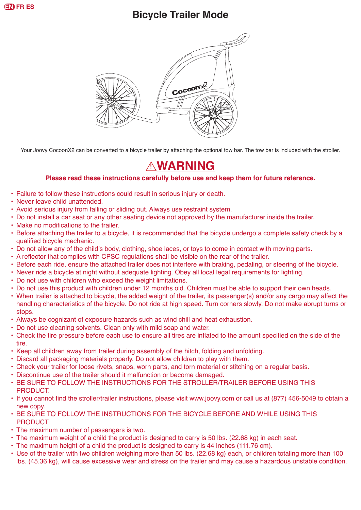

### **Bicycle Trailer Mode**



Your Joovy CocoonX2 can be converted to a bicycle trailer by attaching the optional tow bar. The tow bar is included with the stroller.

### ! **WARNING**

#### **Please read these instructions carefully before use and keep them for future reference.**

- Failure to follow these instructions could result in serious injury or death.
- Never leave child unattended.
- Avoid serious injury from falling or sliding out. Always use restraint system.
- Do not install a car seat or any other seating device not approved by the manufacturer inside the trailer.
- Make no modifications to the trailer.
- Before attaching the trailer to a bicycle, it is recommended that the bicycle undergo a complete safety check by a qualified bicycle mechanic.
- Do not allow any of the child's body, clothing, shoe laces, or toys to come in contact with moving parts.
- • A reflector that complies with CPSC regulations shall be visible on the rear of the trailer.
- Before each ride, ensure the attached trailer does not interfere with braking, pedaling, or steering of the bicycle.
- Never ride a bicycle at night without adequate lighting. Obey all local legal requirements for lighting.
- Do not use with children who exceed the weight limitations.
- Do not use this product with children under 12 months old. Children must be able to support their own heads.
- When trailer is attached to bicycle, the added weight of the trailer, its passenger(s) and/or any cargo may affect the handling characteristics of the bicycle. Do not ride at high speed. Turn corners slowly. Do not make abrupt turns or stops.
- Always be cognizant of exposure hazards such as wind chill and heat exhaustion.
- Do not use cleaning solvents. Clean only with mild soap and water.
- • Check the tire pressure before each use to ensure all tires are inflated to the amount specified on the side of the tire.
- Keep all children away from trailer during assembly of the hitch, folding and unfolding.
- Discard all packaging materials properly. Do not allow children to play with them.
- Check your trailer for loose rivets, snaps, worn parts, and torn material or stitching on a regular basis.
- Discontinue use of the trailer should it malfunction or become damaged.
- BE SURE TO FOLLOW THE INSTRUCTIONS FOR THE STROLLER/TRAILER BEFORE USING THIS PRODUCT.
- If you cannot find the stroller/trailer instructions, please visit www.joovy.com or call us at (877) 456-5049 to obtain a new copy.
- BE SURE TO FOLLOW THE INSTRUCTIONS FOR THE BICYCLE BEFORE AND WHILE USING THIS **PRODUCT**
- The maximum number of passengers is two.
- The maximum weight of a child the product is designed to carry is 50 lbs. (22.68 kg) in each seat.
- The maximum height of a child the product is designed to carry is 44 inches (111.76 cm).
- Use of the trailer with two children weighing more than 50 lbs. (22.68 kg) each, or children totaling more than 100 lbs. (45.36 kg), will cause excessive wear and stress on the trailer and may cause a hazardous unstable condition.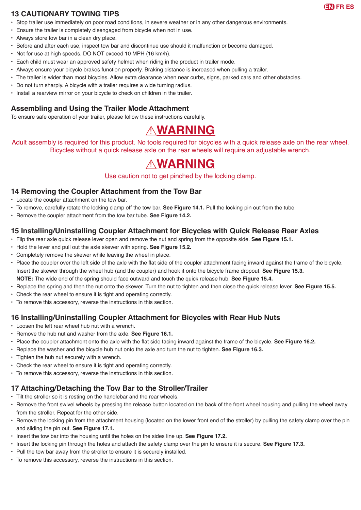

#### **13 CAUTIONARY TOWING TIPS**

- Stop trailer use immediately on poor road conditions, in severe weather or in any other dangerous environments.
- Ensure the trailer is completely disengaged from bicycle when not in use.
- Always store tow bar in a clean dry place.
- Before and after each use, inspect tow bar and discontinue use should it malfunction or become damaged.
- Not for use at high speeds. DO NOT exceed 10 MPH (16 km/h).
- Each child must wear an approved safety helmet when riding in the product in trailer mode.
- Always ensure your bicycle brakes function properly. Braking distance is increased when pulling a trailer.
- The trailer is wider than most bicycles. Allow extra clearance when near curbs, signs, parked cars and other obstacles.
- Do not turn sharply. A bicycle with a trailer requires a wide turning radius.
- Install a rearview mirror on your bicycle to check on children in the trailer.

#### **Assembling and Using the Trailer Mode Attachment**

To ensure safe operation of your trailer, please follow these instructions carefully.

### ! **WARNING**

Adult assembly is required for this product. No tools required for bicycles with a quick release axle on the rear wheel. Bicycles without a quick release axle on the rear wheels will require an adjustable wrench.

### ! **WARNING**

Use caution not to get pinched by the locking clamp.

#### **14 Removing the Coupler Attachment from the Tow Bar**

- Locate the coupler attachment on the tow bar.
- To remove, carefully rotate the locking clamp off the tow bar. **See Figure 14.1.** Pull the locking pin out from the tube.
- Remove the coupler attachment from the tow bar tube. **See Figure 14.2.**

#### **15 Installing/Uninstalling Coupler Attachment for Bicycles with Quick Release Rear Axles**

- Flip the rear axle quick release lever open and remove the nut and spring from the opposite side. **See Figure 15.1.**
- Hold the lever and pull out the axle skewer with spring. **See Figure 15.2.**
- Completely remove the skewer while leaving the wheel in place.
- Place the coupler over the left side of the axle with the flat side of the coupler attachment facing inward against the frame of the bicycle. Insert the skewer through the wheel hub (and the coupler) and hook it onto the bicycle frame dropout. **See Figure 15.3. NOTE:** The wide end of the spring should face outward and touch the quick release hub. **See Figure 15.4.**
- Replace the spring and then the nut onto the skewer. Turn the nut to tighten and then close the quick release lever. **See Figure 15.5.**
- Check the rear wheel to ensure it is tight and operating correctly.
- To remove this accessory, reverse the instructions in this section.

#### **16 Installing/Uninstalling Coupler Attachment for Bicycles with Rear Hub Nuts**

- Loosen the left rear wheel hub nut with a wrench.
- Remove the hub nut and washer from the axle. **See Figure 16.1.**
- • Place the coupler attachment onto the axle with the flat side facing inward against the frame of the bicycle. **See Figure 16.2.**
- Replace the washer and the bicycle hub nut onto the axle and turn the nut to tighten. **See Figure 16.3.**
- Tighten the hub nut securely with a wrench.
- Check the rear wheel to ensure it is tight and operating correctly.
- To remove this accessory, reverse the instructions in this section.

#### **17 Attaching/Detaching the Tow Bar to the Stroller/Trailer**

- Tilt the stroller so it is resting on the handlebar and the rear wheels.
- Remove the front swivel wheels by pressing the release button located on the back of the front wheel housing and pulling the wheel away from the stroller. Repeat for the other side.
- Remove the locking pin from the attachment housing (located on the lower front end of the stroller) by pulling the safety clamp over the pin and sliding the pin out. **See Figure 17.1.**
- Insert the tow bar into the housing until the holes on the sides line up. **See Figure 17.2.**
- Insert the locking pin through the holes and attach the safety clamp over the pin to ensure it is secure. **See Figure 17.3.**
- Pull the tow bar away from the stroller to ensure it is securely installed.
- To remove this accessory, reverse the instructions in this section.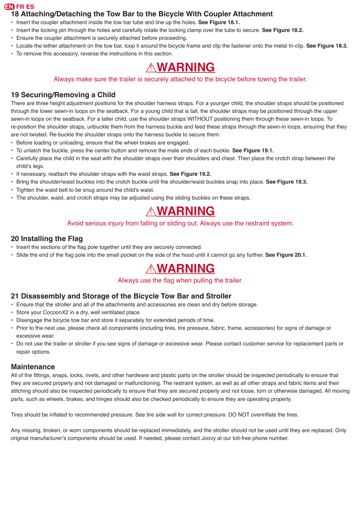#### **18 Attaching/Detaching the Tow Bar to the Bicycle With Coupler Attachment**

- Insert the coupler attachment inside the tow bar tube and line up the holes. **See Figure 18.1.**
- Insert the locking pin through the holes and carefully rotate the locking clamp over the tube to secure. **See Figure 18.2.**
- Ensure the coupler attachment is securely attached before proceeding.
- Locate the tether attachment on the tow bar, loop it around the bicycle frame and clip the fastener onto the metal tri-clip. **See Figure 18.3.**
- To remove this accessory, reverse the instructions in this section.

# ! **WARNING**

#### Always make sure the trailer is securely attached to the bicycle before towing the trailer.

### **19 Securing/Removing a Child**

There are three height adjustment positions for the shoulder harness straps. For a younger child, the shoulder straps should be positioned through the lower sewn-in loops on the seatback. For a young child that is tall, the shoulder straps may be positioned through the upper sewn-in loops on the seatback. For a taller child, use the shoulder straps WITHOUT positioning them through these sewn-in loops. To re-position the shoulder straps, unbuckle them from the harness buckle and feed these straps through the sewn-in loops, ensuring that they are not twisted. Re-buckle the shoulder straps onto the harness buckle to secure them.

- Before loading or unloading, ensure that the wheel brakes are engaged.
- To unlatch the buckle, press the center button and remove the male ends of each buckle. **See Figure 19.1.**
- Carefully place the child in the seat with the shoulder straps over their shoulders and chest. Then place the crotch strap between the child's legs.
- If necessary, reattach the shoulder straps with the waist straps. **See Figure 19.2.**
- Bring the shoulder/waist buckles into the crotch buckle until the shoulder/waist buckles snap into place. **See Figure 19.3.**
- Tighten the waist belt to be snug around the child's waist.
- The shoulder, waist, and crotch straps may be adjusted using the sliding buckles on these straps.

# ! **WARNING**

#### Avoid serious injury from falling or sliding out. Always use the restraint system.

#### **20 Installing the Flag**

- • Insert the sections of the flag pole together until they are securely connected.
- • Slide the end of the flag pole into the small pocket on the side of the hood until it cannot go any further. **See Figure 20.1.**

# ! **WARNING**

Always use the flag when pulling the trailer.

#### **21 Disassembly and Storage of the Bicycle Tow Bar and Stroller**

- Ensure that the stroller and all of the attachments and accessories are clean and dry before storage.
- Store your CocoonX2 in a dry, well ventilated place.
- Disengage the bicycle tow bar and store it separately for extended periods of time.
- Prior to the next use, please check all components (including tires, tire pressure, fabric, frame, accessories) for signs of damage or excessive wear.
- Do not use the trailer or stroller if you see signs of damage or excessive wear. Please contact customer service for replacement parts or repair options.

#### **Maintenance**

All of the fittings, snaps, locks, rivets, and other hardware and plastic parts on the stroller should be inspected periodically to ensure that they are secured properly and not damaged or malfunctioning. The restraint system, as well as all other straps and fabric items and their stitching should also be inspected periodically to ensure that they are secured properly and not loose, torn or otherwise damaged. All moving parts, such as wheels, brakes, and hinges should also be checked periodically to ensure they are operating properly.

Tires should be inflated to recommended pressure. See tire side wall for correct pressure. DO NOT overinflate the tires.

Any missing, broken, or worn components should be replaced immediately, and the stroller should not be used until they are replaced. Only original manufacturer's components should be used. If needed, please contact Joovy at our toll-free phone number.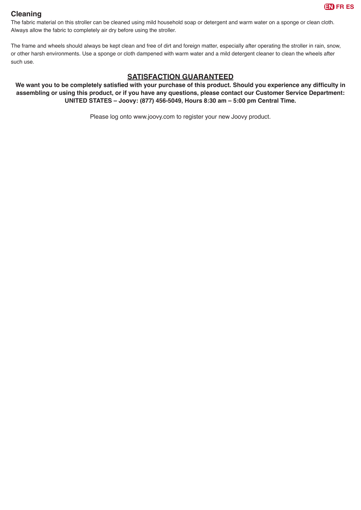

#### **Cleaning**

The fabric material on this stroller can be cleaned using mild household soap or detergent and warm water on a sponge or clean cloth. Always allow the fabric to completely air dry before using the stroller.

The frame and wheels should always be kept clean and free of dirt and foreign matter, especially after operating the stroller in rain, snow, or other harsh environments. Use a sponge or cloth dampened with warm water and a mild detergent cleaner to clean the wheels after such use.

#### **SATISFACTION GUARANTEED**

**We want you to be completely satisfied with your purchase of this product. Should you experience any difficulty in assembling or using this product, or if you have any questions, please contact our Customer Service Department: UNITED STATES – Joovy: (877) 456-5049, Hours 8:30 am – 5:00 pm Central Time.**

Please log onto www.joovy.com to register your new Joovy product.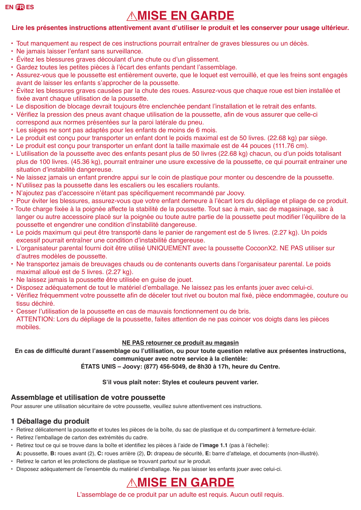# ! **MISE EN GARDE**

#### **Lire les présentes instructions attentivement avant d'utiliser le produit et les conserver pour usage ultérieur.**

- Tout manquement au respect de ces instructions pourrait entraîner de graves blessures ou un décès.
- • Ne jamais laisser l'enfant sans surveillance.
- Évitez les blessures graves découlant d'une chute ou d'un glissement.
- • Gardez toutes les petites pièces à l'écart des enfants pendant l'assemblage.
- Assurez-vous que le poussette est entièrement ouverte, que le loquet est verrouillé, et que les freins sont engagés avant de laisser les enfants s'approcher de la poussette.
- Évitez les blessures graves causées par la chute des roues. Assurez-vous que chaque roue est bien installée et fixée avant chaque utilisation de la poussette.
- • Le disposition de blocage devrait toujours être enclenchée pendant l'installation et le retrait des enfants.
- • Vérifiez la pression des pneus avant chaque utilisation de la poussette, afin de vous assurer que celle-ci correspond aux normes présentées sur la paroi latérale du pneu.
- Les sièges ne sont pas adaptés pour les enfants de moins de 6 mois.
- Le produit est conçu pour transporter un enfant dont le poids maximal est de 50 livres. (22.68 kg) par siège.
- Le produit est conçu pour transporter un enfant dont la taille maximale est de 44 pouces (111.76 cm).
- • L'utilisation de la poussette avec des enfants pesant plus de 50 livres (22.68 kg) chacun, ou d'un poids totalisant plus de 100 livres. (45.36 kg), pourrait entrainer une usure excessive de la poussette, ce qui pourrait entrainer une situation d'instabilité dangereuse.
- Ne laissez jamais un enfant prendre appui sur le coin de plastique pour monter ou descendre de la poussette.
- • N'utilisez pas la poussette dans les escaliers ou les escaliers roulants.
- • N'ajoutez pas d'accessoire n'étant pas spécifiquement recommandé par Joovy.
- • Pour éviter les blessures, assurez-vous que votre enfant demeure à l'écart lors du dépliage et pliage de ce produit.
- Toute charge fixée à la poignée affecte la stabilité de la poussette. Tout sac à main, sac de magasinage, sac à langer ou autre accessoire placé sur la poignée ou toute autre partie de la poussette peut modifier l'équilibre de la poussette et engendrer une condition d'instabilité dangereuse.
- Le poids maximum qui peut être transporté dans le panier de rangement est de 5 livres. (2.27 kg). Un poids excessif pourrait entraîner une condition d'instabilité dangereuse.
- • L'organisateur parental fourni doit être utilisé UNIQUEMENT avec la poussette CocoonX2. NE PAS utiliser sur d'autres modèles de poussette.
- • Ne transportez jamais de breuvages chauds ou de contenants ouverts dans l'organisateur parental. Le poids maximal alloué est de 5 livres. (2.27 kg).
- Ne laissez jamais la poussette être utilisée en guise de jouet.
- • Disposez adéquatement de tout le matériel d'emballage. Ne laissez pas les enfants jouer avec celui-ci.
- • Vérifiez fréquemment votre poussette afin de déceler tout rivet ou bouton mal fixé, pièce endommagée, couture ou tissu déchiré.
- • Cesser l'utilisation de la poussette en cas de mauvais fonctionnement ou de bris. ATTENTION: Lors du dépliage de la poussette, faites attention de ne pas coincer vos doigts dans les pièces mobiles.

#### **NE PAS retourner ce produit au magasin**

**En cas de difficulté durant l'assemblage ou l'utilisation, ou pour toute question relative aux présentes instructions, communiquer avec notre service à la clientèle:**

**ÉTATS UNIS – Joovy: (877) 456-5049, de 8h30 à 17h, heure du Centre.**

#### **S'il vous plaît noter: Styles et couleurs peuvent varier.**

#### **Assemblage et utilisation de votre poussette**

Pour assurer une utilisation sécuritaire de votre poussette, veuillez suivre attentivement ces instructions.

#### **1 Déballage du produit**

- Retirez délicatement la poussette et toutes les pièces de la boîte, du sac de plastique et du compartiment à fermeture-éclair.
- • Retirez l'emballage de carton des extrémités du cadre.
- • Retirez tout ce qui se trouve dans la boîte et identifiez les pièces à l'aide de **l'image 1.1** (pas à l'échelle):
- **A:** poussette, **B:** roues avant (2), **C:** roues arrière (2), **D:** drapeau de sécurité, **E:** barre d'attelage, et documents (non-illustré).
- Retirez le carton et les protections de plastique se trouvant partout sur le produit.
- • Disposez adéquatement de l'ensemble du matériel d'emballage. Ne pas laisser les enfants jouer avec celui-ci.

### *AMISE EN GARDE*

L'assemblage de ce produit par un adulte est requis. Aucun outil requis.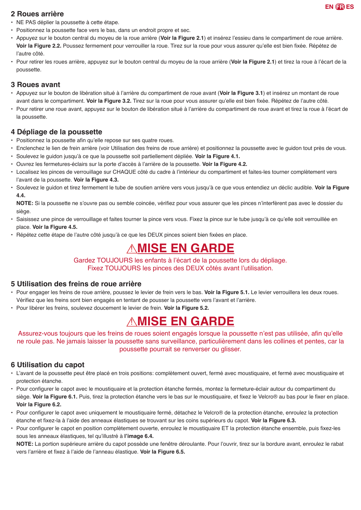

#### **2 Roues arrière**

- NE PAS déplier la poussette à cette étape.
- Positionnez la poussette face vers le bas, dans un endroit propre et sec.
- Appuyez sur le bouton central du moyeu de la roue arrière (**Voir la Figure 2.1**) et insérez l'essieu dans le compartiment de roue arrière. **Voir la Figure 2.2.** Poussez fermement pour verrouiller la roue. Tirez sur la roue pour vous assurer qu'elle est bien fixée. Répétez de l'autre côté.
- Pour retirer les roues arrière, appuyez sur le bouton central du moyeu de la roue arrière (**Voir la Figure 2.1**) et tirez la roue à l'écart de la poussette.

#### **3 Roues avant**

- • Appuyez sur le bouton de libération situé à l'arrière du compartiment de roue avant (**Voir la Figure 3.1**) et insérez un montant de roue avant dans le compartiment. **Voir la Figure 3.2.** Tirez sur la roue pour vous assurer qu'elle est bien fixée. Répétez de l'autre côté.
- • Pour retirer une roue avant, appuyez sur le bouton de libération situé à l'arrière du compartiment de roue avant et tirez la roue à l'écart de la poussette.

#### **4 Dépliage de la poussette**

- Positionnez la poussette afin qu'elle repose sur ses quatre roues.
- Enclenchez le lien de frein arrière (voir Utilisation des freins de roue arrière) et positionnez la poussette avec le guidon tout près de vous.
- • Soulevez le guidon jusqu'à ce que la poussette soit partiellement dépliée. **Voir la Figure 4.1.**
- • Ouvrez les fermetures-éclairs sur la porte d'accès à l'arrière de la poussette. **Voir la Figure 4.2.**
- • Localisez les pinces de verrouillage sur CHAQUE côté du cadre à l'intérieur du compartiment et faites-les tourner complètement vers l'avant de la poussette. **Voir la Figure 4.3.**
- • Soulevez le guidon et tirez fermement le tube de soutien arrière vers vous jusqu'à ce que vous entendiez un déclic audible. **Voir la Figure 4.4.**

**NOTE:** Si la poussette ne s'ouvre pas ou semble coincée, vérifiez pour vous assurer que les pinces n'interfèrent pas avec le dossier du siège.

- • Saisissez une pince de verrouillage et faites tourner la pince vers vous. Fixez la pince sur le tube jusqu'à ce qu'elle soit verrouillée en place. **Voir la Figure 4.5.**
- • Répétez cette étape de l'autre côté jusqu'à ce que les DEUX pinces soient bien fixées en place.

# ! **MISE EN GARDE**

Gardez TOUJOURS les enfants à l'écart de la poussette lors du dépliage. Fixez TOUJOURS les pinces des DEUX côtés avant l'utilisation.

#### **5 Utilisation des freins de roue arrière**

- Pour engager les freins de roue arrière, poussez le levier de frein vers le bas. **Voir la Figure 5.1.** Le levier verrouillera les deux roues. Vérifiez que les freins sont bien engagés en tentant de pousser la poussette vers l'avant et l'arrière.
- Pour libérer les freins, soulevez doucement le levier de frein. **Voir la Figure 5.2.**

## *AMISE EN GARDE*

Assurez-vous toujours que les freins de roues soient engagés lorsque la poussette n'est pas utilisée, afin qu'elle ne roule pas. Ne jamais laisser la poussette sans surveillance, particulièrement dans les collines et pentes, car la poussette pourrait se renverser ou glisser.

#### **6 Utilisation du capot**

- • L'avant de la poussette peut être placé en trois positions: complètement ouvert, fermé avec moustiquaire, et fermé avec moustiquaire et protection étanche.
- • Pour configurer le capot avec le moustiquaire et la protection étanche fermés, montez la fermeture-éclair autour du compartiment du siège. **Voir la Figure 6.1.** Puis, tirez la protection étanche vers le bas sur le moustiquaire, et fixez le Velcro® au bas pour le fixer en place. **Voir la Figure 6.2.**
- • Pour configurer le capot avec uniquement le moustiquaire fermé, détachez le Velcro® de la protection étanche, enroulez la protection étanche et fixez-la à l'aide des anneaux élastiques se trouvant sur les coins supérieurs du capot. **Voir la Figure 6.3.**
- • Pour configurer le capot en position complètement ouverte, enroulez le moustiquaire ET la protection étanche ensemble, puis fixez-les sous les anneaux élastiques, tel qu'illustré à **l'image 6.4.**

**NOTE:** La portion supérieure arrière du capot possède une fenêtre déroulante. Pour l'ouvrir, tirez sur la bordure avant, enroulez le rabat vers l'arrière et fixez à l'aide de l'anneau élastique. **Voir la Figure 6.5.**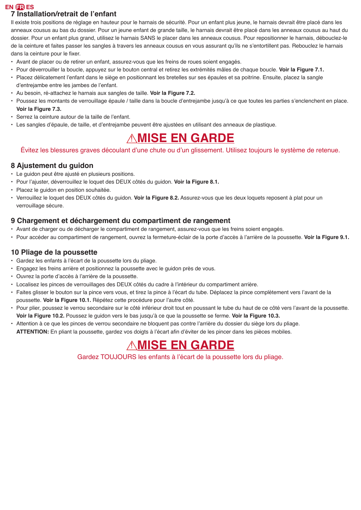#### **7 Installation/retrait de l'enfant**

Il existe trois positions de réglage en hauteur pour le harnais de sécurité. Pour un enfant plus jeune, le harnais devrait être placé dans les anneaux cousus au bas du dossier. Pour un jeune enfant de grande taille, le harnais devrait être placé dans les anneaux cousus au haut du dossier. Pour un enfant plus grand, utilisez le harnais SANS le placer dans les anneaux cousus. Pour repositionner le harnais, débouclez-le de la ceinture et faites passer les sangles à travers les anneaux cousus en vous assurant qu'ils ne s'entortillent pas. Rebouclez le harnais dans la ceinture pour le fixer.

- Avant de placer ou de retirer un enfant, assurez-vous que les freins de roues soient engagés.
- Pour déverrouiller la boucle, appuyez sur le bouton central et retirez les extrémités mâles de chaque boucle. **Voir la Figure 7.1.**
- • Placez délicatement l'enfant dans le siège en positionnant les bretelles sur ses épaules et sa poitrine. Ensuite, placez la sangle d'entrejambe entre les jambes de l'enfant.
- Au besoin, ré-attachez le harnais aux sangles de taille. **Voir la Figure 7.2.**
- • Poussez les montants de verrouillage épaule / taille dans la boucle d'entrejambe jusqu'à ce que toutes les parties s'enclenchent en place. **Voir la Figure 7.3.**
- • Serrez la ceinture autour de la taille de l'enfant.
- • Les sangles d'épaule, de taille, et d'entrejambe peuvent être ajustées en utilisant des anneaux de plastique.

## *AMISE EN GARDE*

#### Évitez les blessures graves découlant d'une chute ou d'un glissement. Utilisez toujours le système de retenue.

#### **8 Ajustement du guidon**

- Le guidon peut être ajusté en plusieurs positions.
- • Pour l'ajuster, déverrouillez le loquet des DEUX côtés du guidon. **Voir la Figure 8.1.**
- Placez le quidon en position souhaitée.
- • Verrouillez le loquet des DEUX côtés du guidon. **Voir la Figure 8.2.** Assurez-vous que les deux loquets reposent à plat pour un verrouillage sécure.

#### **9 Chargement et déchargement du compartiment de rangement**

- Avant de charger ou de décharger le compartiment de rangement, assurez-vous que les freins soient engagés.
- • Pour accéder au compartiment de rangement, ouvrez la fermeture-éclair de la porte d'accès à l'arrière de la poussette. **Voir la Figure 9.1.**

#### **10 Pliage de la poussette**

- • Gardez les enfants à l'écart de la poussette lors du pliage.
- Engagez les freins arrière et positionnez la poussette avec le guidon près de vous.
- • Ouvrez la porte d'accès à l'arrière de la poussette.
- • Localisez les pinces de verrouillages des DEUX côtés du cadre à l'intérieur du compartiment arrière.
- • Faites glisser le bouton sur la pince vers vous, et tirez la pince à l'écart du tube. Déplacez la pince complètement vers l'avant de la poussette. **Voir la Figure 10.1.** Répétez cette procédure pour l'autre côté.
- • Pour plier, poussez le verrou secondaire sur le côté inférieur droit tout en poussant le tube du haut de ce côté vers l'avant de la poussette. **Voir la Figure 10.2.** Poussez le guidon vers le bas jusqu'à ce que la poussette se ferme. **Voir la Figure 10.3.**
- • Attention à ce que les pinces de verrou secondaire ne bloquent pas contre l'arrière du dossier du siège lors du pliage. **ATTENTION:** En pliant la poussette, gardez vos doigts à l'écart afin d'éviter de les pincer dans les pièces mobiles.

# *AMISE EN GARDE*

Gardez TOUJOURS les enfants à l'écart de la poussette lors du pliage.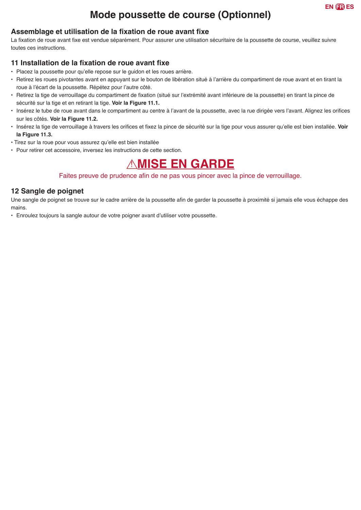### **Mode poussette de course (Optionnel)**

#### **Assemblage et utilisation de la fixation de roue avant fixe**

La fixation de roue avant fixe est vendue séparément. Pour assurer une utilisation sécuritaire de la poussette de course, veuillez suivre toutes ces instructions.

#### **11 Installation de la fixation de roue avant fixe**

- • Placez la poussette pour qu'elle repose sur le guidon et les roues arrière.
- • Retirez les roues pivotantes avant en appuyant sur le bouton de libération situé à l'arrière du compartiment de roue avant et en tirant la roue à l'écart de la poussette. Répétez pour l'autre côté.
- • Retirez la tige de verrouillage du compartiment de fixation (situé sur l'extrémité avant inférieure de la poussette) en tirant la pince de sécurité sur la tige et en retirant la tige. **Voir la Figure 11.1.**
- • Insérez le tube de roue avant dans le compartiment au centre à l'avant de la poussette, avec la rue dirigée vers l'avant. Alignez les orifices sur les côtés. **Voir la Figure 11.2.**
- • Insérez la tige de verrouillage à travers les orifices et fixez la pince de sécurité sur la tige pour vous assurer qu'elle est bien installée. **Voir la Figure 11.3.**
- Tirez sur la roue pour vous assurez qu'elle est bien installée
- Pour retirer cet accessoire, inversez les instructions de cette section.

# ! **MISE EN GARDE**

#### Faites preuve de prudence afin de ne pas vous pincer avec la pince de verrouillage.

#### **12 Sangle de poignet**

Une sangle de poignet se trouve sur le cadre arrière de la poussette afin de garder la poussette à proximité si jamais elle vous échappe des mains.

• Enroulez toujours la sangle autour de votre poigner avant d'utiliser votre poussette.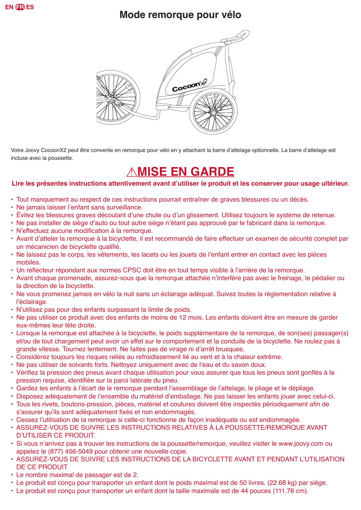### **Mode remorque pour vélo**



Votre Joovy CocoonX2 peut être convertie en remorque pour vélo en y attachant la barre d'attelage optionnelle. La barre d'attelage est incluse avec la poussette.

# *AMISE EN GARDE*

#### **Lire les présentes instructions attentivement avant d'utiliser le produit et les conserver pour usage ultérieur.**

- Tout manquement au respect de ces instructions pourrait entraîner de graves blessures ou un décès.
- Ne jamais laisser l'enfant sans surveillance.
- • Évitez les blessures graves découlant d'une chute ou d'un glissement. Utilisez toujours le système de retenue.
- • Ne pas installer de siège d'auto ou tout autre siège n'étant pas approuvé par le fabricant dans la remorque.
- N'effectuez aucune modification à la remorque.
- • Avant d'atteler la remorque à la bicyclette, il est recommandé de faire effectuer un examen de sécurité complet par un mécanicien de bicyclette qualifié.
- • Ne laissez pas le corps, les vêtements, les lacets ou les jouets de l'enfant entrer en contact avec les pièces mobiles.
- • Un réflecteur répondant aux normes CPSC doit être en tout temps visible à l'arrière de la remorque.
- • Avant chaque promenade, assurez-vous que la remorque attachée n'interfère pas avec le freinage, le pédalier ou la direction de la bicyclette.
- Ne vous promenez jamais en vélo la nuit sans un éclairage adéquat. Suivez toutes la règlementation relative à l'éclairage.
- • N'utilisez pas pour des enfants surpassant la limite de poids.
- Ne pas utiliser ce produit avec des enfants de moins de 12 mois. Les enfants doivent être en mesure de garder eux-mêmes leur tête droite.
- Lorsque la remorque est attachée à la bicyclette, le poids supplémentaire de la remorque, de son(ses) passager(s) et/ou de tout chargement peut avoir un effet sur le comportement et la conduite de la bicyclette. Ne roulez pas à grande vitesse. Tournez lentement. Ne faites pas de virage ni d'arrêt brusques.
- Considérez toujours les risques reliés au refroidissement lié au vent et à la chaleur extrême.
- Ne pas utiliser de solvants forts. Nettoyez uniquement avec de l'eau et du savon doux.
- • Vérifiez la pression des pneus avant chaque utilisation pour vous assurer que tous les pneus sont gonflés à la pression requise, identifiée sur la paroi latérale du pneu.
- • Gardez les enfants à l'écart de le remorque pendant l'assemblage de l'attelage, le pliage et le dépliage.
- • Disposez adéquatement de l'ensemble du matériel d'emballage. Ne pas laisser les enfants jouer avec celui-ci.
- • Tous les rivets, boutons-pression, pièces, matériel et coutures doivent être inspectés périodiquement afin de s'assurer qu'ils sont adéquatement fixés et non endommagés.
- • Cessez l'utilisation de la remorque si celle-ci fonctionne de façon inadéquate ou est endommagée.
- ASSUREZ-VOUS DE SUIVRE LES INSTRUCTIONS RELATIVES À LA POUSSETTE/REMORQUE AVANT D'UTILISER CE PRODUIT.
- • Si vous n'arrivez pas à trouver les instructions de la poussette/remorque, veuillez visiter le www.joovy.com ou appelez le (877) 456-5049 pour obtenir une nouvelle copie.
- • ASSUREZ-VOUS DE SUIVRE LES INSTRUCTIONS DE LA BICYCLETTE AVANT ET PENDANT L'UTILISATION DE CE PRODUIT
- Le nombre maximal de passager est de 2.
- Le produit est conçu pour transporter un enfant dont le poids maximal est de 50 livres. (22.68 kg) par siège.
- Le produit est conçu pour transporter un enfant dont la taille maximale est de 44 pouces (111.76 cm).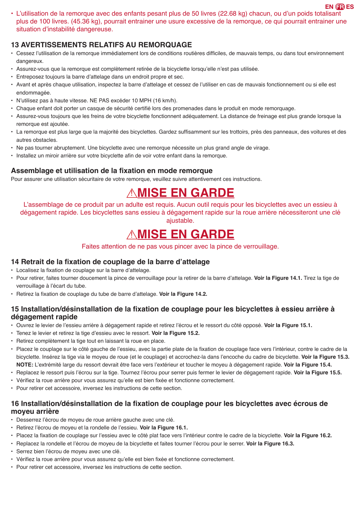• L'utilisation de la remorque avec des enfants pesant plus de 50 livres (22.68 kg) chacun, ou d'un poids totalisant plus de 100 livres. (45.36 kg), pourrait entrainer une usure excessive de la remorque, ce qui pourrait entrainer une situation d'instabilité dangereuse.

#### **13 AVERTISSEMENTS RELATIFS AU REMORQUAGE**

- • Cessez l'utilisation de la remorque immédiatement lors de conditions routières difficiles, de mauvais temps, ou dans tout environnement dangereux.
- • Assurez-vous que la remorque est complètement retirée de la bicyclette lorsqu'elle n'est pas utilisée.
- • Entreposez toujours la barre d'attelage dans un endroit propre et sec.
- • Avant et après chaque utilisation, inspectez la barre d'attelage et cessez de l'utiliser en cas de mauvais fonctionnement ou si elle est endommagée.
- • N'utilisez pas à haute vitesse. NE PAS excéder 10 MPH (16 km/h).
- • Chaque enfant doit porter un casque de sécurité certifié lors des promenades dans le produit en mode remorquage.
- Assurez-vous toujours que les freins de votre bicyclette fonctionnent adéquatement. La distance de freinage est plus grande lorsque la remorque est ajoutée.
- • La remorque est plus large que la majorité des bicyclettes. Gardez suffisamment sur les trottoirs, près des panneaux, des voitures et des autres obstacles.
- Ne pas tourner abruptement. Une bicyclette avec une remorque nécessite un plus grand angle de virage.
- • Installez un miroir arrière sur votre bicyclette afin de voir votre enfant dans la remorque.

#### **Assemblage et utilisation de la fixation en mode remorque**

Pour assurer une utilisation sécuritaire de votre remorque, veuillez suivre attentivement ces instructions.

## *AMISE EN GARDE*

L'assemblage de ce produit par un adulte est requis. Aucun outil requis pour les bicyclettes avec un essieu à dégagement rapide. Les bicyclettes sans essieu à dégagement rapide sur la roue arrière nécessiteront une clé ajustable.

### ! **MISE EN GARDE**

Faites attention de ne pas vous pincer avec la pince de verrouillage.

#### **14 Retrait de la fixation de couplage de la barre d'attelage**

- • Localisez la fixation de couplage sur la barre d'attelage.
- • Pour retirer, faites tourner doucement la pince de verrouillage pour la retirer de la barre d'attelage. **Voir la Figure 14.1.** Tirez la tige de verrouillage à l'écart du tube.
- • Retirez la fixation de couplage du tube de barre d'attelage. **Voir la Figure 14.2.**

#### **15 Installation/désinstallation de la fixation de couplage pour les bicyclettes à essieu arrière à dégagement rapide**

- • Ouvrez le levier de l'essieu arrière à dégagement rapide et retirez l'écrou et le ressort du côté opposé. **Voir la Figure 15.1.**
- • Tenez le levier et retirez la tige d'essieu avec le ressort. **Voir la Figure 15.2.**
- Retirez complètement la tige tout en laissant la roue en place.
- • Placez le couplage sur le côté gauche de l'essieu, avec la partie plate de la fixation de couplage face vers l'intérieur, contre le cadre de la bicyclette. Insérez la tige via le moyeu de roue (et le couplage) et accrochez-la dans l'encoche du cadre de bicyclette. **Voir la Figure 15.3. NOTE:** L'extrémité large du ressort devrait être face vers l'extérieur et toucher le moyeu à dégagement rapide. **Voir la Figure 15.4.**
- • Replacez le ressort puis l'écrou sur la tige. Tournez l'écrou pour serrer puis fermer le levier de dégagement rapide. **Voir la Figure 15.5.**
- • Vérifiez la roue arrière pour vous assurez qu'elle est bien fixée et fonctionne correctement.
- Pour retirer cet accessoire, inversez les instructions de cette section.

#### **16 Installation/désinstallation de la fixation de couplage pour les bicyclettes avec écrous de moyeu arrière**

- Desserrez l'écrou de moyeu de roue arrière gauche avec une clé.
- • Retirez l'écrou de moyeu et la rondelle de l'essieu. **Voir la Figure 16.1.**
- • Placez la fixation de couplage sur l'essieu avec le côté plat face vers l'intérieur contre le cadre de la bicyclette. **Voir la Figure 16.2.**
- • Replacez la rondelle et l'écrou de moyeu de la bicyclette et faites tourner l'écrou pour le serrer. **Voir la Figure 16.3.**
- • Serrez bien l'écrou de moyeu avec une clé.
- • Vérifiez la roue arrière pour vous assurez qu'elle est bien fixée et fonctionne correctement.
- Pour retirer cet accessoire, inversez les instructions de cette section.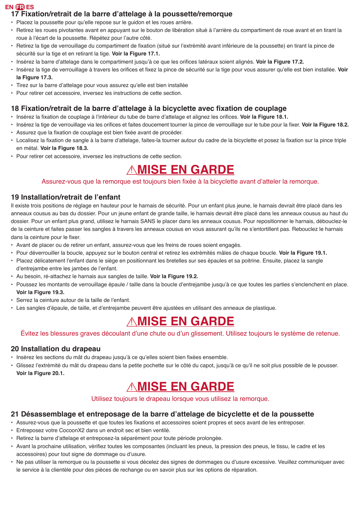#### **17 Fixation/retrait de la barre d'attelage à la poussette/remorque**

- • Placez la poussette pour qu'elle repose sur le guidon et les roues arrière.
- • Retirez les roues pivotantes avant en appuyant sur le bouton de libération situé à l'arrière du compartiment de roue avant et en tirant la roue à l'écart de la poussette. Répétez pour l'autre côté.
- • Retirez la tige de verrouillage du compartiment de fixation (situé sur l'extrémité avant inférieure de la poussette) en tirant la pince de sécurité sur la tige et en retirant la tige. **Voir la Figure 17.1.**
- • Insérez la barre d'attelage dans le compartiment jusqu'à ce que les orifices latéraux soient alignés. **Voir la Figure 17.2.**
- • Insérez la tige de verrouillage à travers les orifices et fixez la pince de sécurité sur la tige pour vous assurer qu'elle est bien installée. **Voir la Figure 17.3.**
- • Tirez sur la barre d'attelage pour vous assurez qu'elle est bien installée
- Pour retirer cet accessoire, inversez les instructions de cette section.

#### **18 Fixation/retrait de la barre d'attelage à la bicyclette avec fixation de couplage**

- • Insérez la fixation de couplage à l'intérieur du tube de barre d'attelage et alignez les orifices. **Voir la Figure 18.1.**
- • Insérez la tige de verrouillage via les orifices et faites doucement tourner la pince de verrouillage sur le tube pour la fixer. **Voir la Figure 18.2.**
- • Assurez que la fixation de couplage est bien fixée avant de procéder.
- • Localisez la fixation de sangle à la barre d'attelage, faites-la tourner autour du cadre de la bicyclette et posez la fixation sur la pince triple en métal. **Voir la Figure 18.3.**
- Pour retirer cet accessoire, inversez les instructions de cette section.

# *AMISE EN GARDE*

#### Assurez-vous que la remorque est toujours bien fixée à la bicyclette avant d'atteler la remorque.

#### **19 Installation/retrait de l'enfant**

Il existe trois positions de réglage en hauteur pour le harnais de sécurité. Pour un enfant plus jeune, le harnais devrait être placé dans les anneaux cousus au bas du dossier. Pour un jeune enfant de grande taille, le harnais devrait être placé dans les anneaux cousus au haut du dossier. Pour un enfant plus grand, utilisez le harnais SANS le placer dans les anneaux cousus. Pour repositionner le harnais, débouclez-le de la ceinture et faites passer les sangles à travers les anneaux cousus en vous assurant qu'ils ne s'entortillent pas. Rebouclez le harnais dans la ceinture pour le fixer.

- Avant de placer ou de retirer un enfant, assurez-vous que les freins de roues soient engagés.
- Pour déverrouiller la boucle, appuyez sur le bouton central et retirez les extrémités mâles de chaque boucle. **Voir la Figure 19.1.**
- • Placez délicatement l'enfant dans le siège en positionnant les bretelles sur ses épaules et sa poitrine. Ensuite, placez la sangle d'entrejambe entre les jambes de l'enfant.
- Au besoin, ré-attachez le harnais aux sangles de taille. **Voir la Figure 19.2.**
- • Poussez les montants de verrouillage épaule / taille dans la boucle d'entrejambe jusqu'à ce que toutes les parties s'enclenchent en place. **Voir la Figure 19.3.**
- • Serrez la ceinture autour de la taille de l'enfant.
- • Les sangles d'épaule, de taille, et d'entrejambe peuvent être ajustées en utilisant des anneaux de plastique.

### *AMISE EN GARDE*

#### Évitez les blessures graves découlant d'une chute ou d'un glissement. Utilisez toujours le système de retenue.

#### **20 Installation du drapeau**

- • Insérez les sections du mât du drapeau jusqu'à ce qu'elles soient bien fixées ensemble.
- • Glissez l'extrémité du mât du drapeau dans la petite pochette sur le côté du capot, jusqu'à ce qu'il ne soit plus possible de le pousser. **Voir la Figure 20.1.**

## ! **MISE EN GARDE**

#### Utilisez toujours le drapeau lorsque vous utilisez la remorque.

#### **21 Désassemblage et entreposage de la barre d'attelage de bicyclette et de la poussette**

- • Assurez-vous que la poussette et que toutes les fixations et accessoires soient propres et secs avant de les entreposer.
- Entreposez votre CocoonX2 dans un endroit sec et bien ventilé.
- • Retirez la barre d'attelage et entreposez-la séparément pour toute période prolongée.
- • Avant la prochaine utilisation, vérifiez toutes les composantes (incluant les pneus, la pression des pneus, le tissu, le cadre et les accessoires) pour tout signe de dommage ou d'usure.
- • Ne pas utiliser la remorque ou la poussette si vous décelez des signes de dommages ou d'usure excessive. Veuillez communiquer avec le service à la clientèle pour des pièces de rechange ou en savoir plus sur les options de réparation.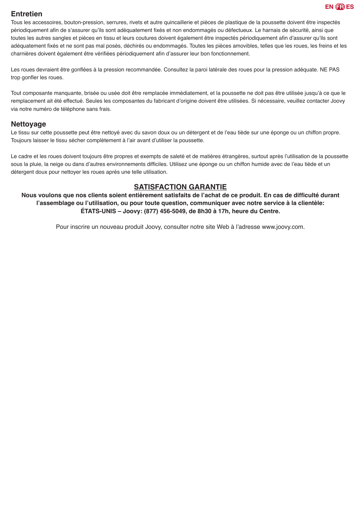#### **Entretien**

Tous les accessoires, bouton-pression, serrures, rivets et autre quincaillerie et pièces de plastique de la poussette doivent être inspectés périodiquement afin de s'assurer qu'ils sont adéquatement fixés et non endommagés ou défectueux. Le harnais de sécurité, ainsi que toutes les autres sangles et pièces en tissu et leurs coutures doivent également être inspectés périodiquement afin d'assurer qu'ils sont adéquatement fixés et ne sont pas mal posés, déchirés ou endommagés. Toutes les pièces amovibles, telles que les roues, les freins et les charnières doivent également être vérifiées périodiquement afin d'assurer leur bon fonctionnement.

Les roues devraient être gonflées à la pression recommandée. Consultez la paroi latérale des roues pour la pression adéquate. NE PAS trop gonfler les roues.

Tout composante manquante, brisée ou usée doit être remplacée immédiatement, et la poussette ne doit pas être utilisée jusqu'à ce que le remplacement ait été effectué. Seules les composantes du fabricant d'origine doivent être utilisées. Si nécessaire, veuillez contacter Joovy via notre numéro de téléphone sans frais.

#### **Nettoyage**

Le tissu sur cette poussette peut être nettoyé avec du savon doux ou un détergent et de l'eau tiède sur une éponge ou un chiffon propre. Toujours laisser le tissu sécher complètement à l'air avant d'utiliser la poussette.

Le cadre et les roues doivent toujours être propres et exempts de saleté et de matières étrangères, surtout après l'utilisation de la poussette sous la pluie, la neige ou dans d'autres environnements difficiles. Utilisez une éponge ou un chiffon humide avec de l'eau tiède et un détergent doux pour nettoyer les roues après une telle utilisation.

#### **SATISFACTION GARANTIE**

**Nous voulons que nos clients soient entièrement satisfaits de l'achat de ce produit. En cas de difficulté durant l'assemblage ou l'utilisation, ou pour toute question, communiquer avec notre service à la clientèle: ÉTATS-UNIS – Joovy: (877) 456-5049, de 8h30 à 17h, heure du Centre.**

Pour inscrire un nouveau produit Joovy, consulter notre site Web à l'adresse www.joovy.com.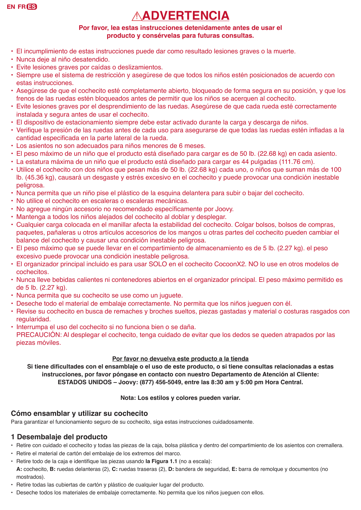# ! **ADVERTENCIA**

#### **Por favor, lea estas instrucciones detenidamente antes de usar el producto y consérvelas para futuras consultas.**

- El incumplimiento de estas instrucciones puede dar como resultado lesiones graves o la muerte.
- Nunca deje al niño desatendido.
- Evite lesiones graves por caídas o deslizamientos.
- Siempre use el sistema de restricción y asegúrese de que todos los niños estén posicionados de acuerdo con estas instrucciones.
- Asegúrese de que el cochecito esté completamente abierto, bloqueado de forma segura en su posición, y que los frenos de las ruedas estén bloqueados antes de permitir que los niños se acerquen al cochecito.
- Evite lesiones graves por el desprendimiento de las ruedas. Asegúrese de que cada rueda esté correctamente instalada y segura antes de usar el cochecito.
- El dispositivo de estacionamiento siempre debe estar activado durante la carga y descarga de niños.
- • Verifique la presión de las ruedas antes de cada uso para asegurarse de que todas las ruedas estén infladas a la cantidad especificada en la parte lateral de la rueda.
- Los asientos no son adecuados para niños menores de 6 meses.
- El peso máximo de un niño que el producto está diseñado para cargar es de 50 lb. (22.68 kg) en cada asiento.
- La estatura máxima de un niño que el producto está diseñado para cargar es 44 pulgadas (111.76 cm).
- Utilice el cochecito con dos niños que pesan más de 50 lb. (22.68 kg) cada uno, o niños que suman más de 100 lb. (45.36 kg), causará un desgaste y estrés excesivo en el cochecito y puede provocar una condición inestable peligrosa.
- Nunca permita que un niño pise el plástico de la esquina delantera para subir o bajar del cochecito.
- No utilice el cochecito en escaleras o escaleras mecánicas.
- • No agregue ningún accesorio no recomendado específicamente por Joovy.
- Mantenga a todos los niños alejados del cochecito al doblar y desplegar.
- Cualquier carga colocada en el manillar afecta la estabilidad del cochecito. Colgar bolsos, bolsos de compras, paquetes, pañaleras u otros artículos accesorios de los mangos u otras partes del cochecito pueden cambiar el balance del cochecito y causar una condición inestable peligrosa.
- El peso máximo que se puede llevar en el compartimiento de almacenamiento es de 5 lb. (2.27 kg). el peso excesivo puede provocar una condición inestable peligrosa.
- El organizador principal incluido es para usar SOLO en el cochecito CocoonX2. NO lo use en otros modelos de cochecitos.
- Nunca lleve bebidas calientes ni contenedores abiertos en el organizador principal. El peso máximo permitido es de 5 lb. (2.27 kg).
- Nunca permita que su cochecito se use como un juguete.
- Deseche todo el material de embalaje correctamente. No permita que los niños jueguen con él.
- Revise su cochecito en busca de remaches y broches sueltos, piezas gastadas y material o costuras rasgados con regularidad.
- Interrumpa el uso del cochecito si no funciona bien o se daña.

PRECAUCIÓN: Al desplegar el cochecito, tenga cuidado de evitar que los dedos se queden atrapados por las piezas móviles.

#### **Por favor no devuelva este producto a la tienda**

**Si tiene dificultades con el ensamblaje o el uso de este producto, o si tiene consultas relacionadas a estas instrucciones, por favor póngase en contacto con nuestro Departamento de Atención al Cliente: ESTADOS UNIDOS – Joovy: (877) 456-5049, entre las 8:30 am y 5:00 pm Hora Central.**

#### **Nota: Los estilos y colores pueden variar.**

#### **Cómo ensamblar y utilizar su cochecito**

Para garantizar el funcionamiento seguro de su cochecito, siga estas instrucciones cuidadosamente.

#### **1 Desembalaje del producto**

- Retire con cuidado el cochecito y todas las piezas de la caja, bolsa plástica y dentro del compartimiento de los asientos con cremallera.
- Retire el material de cartón del embalaje de los extremos del marco.
- • Retire todo de la caja e identifique las piezas usando **la Figura 1.1** (no a escala):
- **A:** cochecito, **B:** ruedas delanteras (2), **C:** ruedas traseras (2), **D:** bandera de seguridad, **E:** barra de remolque y documentos (no mostrados).
- Retire todas las cubiertas de cartón y plástico de cualquier lugar del producto.
- Deseche todos los materiales de embalaje correctamente. No permita que los niños jueguen con ellos.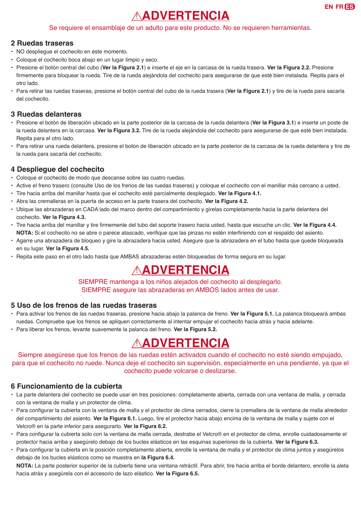# ! **ADVERTENCIA**

#### Se requiere el ensamblaje de un adulto para este producto. No se requieren herramientas.

#### **2 Ruedas traseras**

- NO despliegue el cochecito en este momento.
- Coloque el cochecito boca abajo en un lugar limpio y seco.
- Presione el botón central del cubo (**Ver la Figura 2.1**) e inserte el eje en la carcasa de la rueda trasera. **Ver la Figura 2.2.** Presione firmemente para bloquear la rueda. Tire de la rueda alejándola del cochecito para asegurarse de que esté bien instalada. Repita para el otro lado.
- Para retirar las ruedas traseras, presione el botón central del cubo de la rueda trasera (**Ver la Figura 2.1**) y tire de la rueda para sacarla del cochecito.

#### **3 Ruedas delanteras**

- Presione el botón de liberación ubicado en la parte posterior de la carcasa de la rueda delantera (**Ver la Figura 3.1**) e inserte un poste de la rueda delantera en la carcasa. **Ver la Figura 3.2.** Tire de la rueda alejándola del cochecito para asegurarse de que esté bien instalada. Repita para el otro lado.
- Para retirar una rueda delantera, presione el botón de liberación ubicado en la parte posterior de la carcasa de la rueda delantera y tire de la rueda para sacarla del cochecito.

#### **4 Despliegue del cochecito**

- Coloque el cochecito de modo que descanse sobre las cuatro ruedas.
- Active el freno trasero (consulte Uso de los frenos de las ruedas traseras) y coloque el cochecito con el manillar más cercano a usted.
- Tire hacia arriba del manillar hasta que el cochecito esté parcialmente desplegado. **Ver la Figura 4.1.**
- Abra las cremalleras en la puerta de acceso en la parte trasera del cochecito. **Ver la Figura 4.2.**
- Ubique las abrazaderas en CADA lado del marco dentro del compartimiento y gírelas completamente hacia la parte delantera del cochecito. **Ver la Figura 4.3.**
- • Tire hacia arriba del manillar y tire firmemente del tubo del soporte trasero hacia usted, hasta que escuche un clic. **Ver la Figura 4.4. NOTA:** Si el cochecito no se abre o parece atascado, verifique que las pinzas no estén interfiriendo con el respaldo del asiento.
- Agarre una abrazadera de bloqueo y gire la abrazadera hacia usted. Asegure que la abrazadera en el tubo hasta que quede bloqueada en su lugar. **Ver la Figura 4.5.**
- Repita este paso en el otro lado hasta que AMBAS abrazaderas estén bloqueadas de forma segura en su lugar.

# ! **ADVERTENCIA**

SIEMPRE mantenga a los niños alejados del cochecito al desplegarlo. SIEMPRE asegure las abrazaderas en AMBOS lados antes de usar.

#### **5 Uso de los frenos de las ruedas traseras**

- Para activar los frenos de las ruedas traseras, presione hacia abajo la palanca de freno. **Ver la Figura 5.1.** La palanca bloqueará ambas ruedas. Compruebe que los frenos se apliquen correctamente al intentar empujar el cochecito hacia atrás y hacia adelante.
- Para liberar los frenos, levante suavemente la palanca del freno. **Ver la Figura 5.2.**

# ! **ADVERTENCIA**

Siempre asegúrese que los frenos de las ruedas estén activados cuando el cochecito no esté siendo empujado, para que el cochecito no ruede. Nunca deje el cochecito sin supervisión, especialmente en una pendiente, ya que el cochecito puede volcarse o deslizarse.

#### **6 Funcionamiento de la cubierta**

- La parte delantera del cochecito se puede usar en tres posiciones: completamente abierta, cerrada con una ventana de malla, y cerrada con la ventana de malla y un protector de clima.
- • Para configurar la cubierta con la ventana de malla y el protector de clima cerrados, cierre la cremallera de la ventana de malla alrededor del compartimiento del asiento. **Ver la Figura 6.1.** Luego, tire el protector hacia abajo encima de la ventana de malla y sujete con el Velcro® en la parte inferior para asegurarlo. **Ver la Figura 6.2.**
- • Para configurar la cubierta solo con la ventana de malla cerrada, destrabe el Velcro® en el protector de clima, enrolle cuidadosamente el protector hacia arriba y asegúrelo debajo de los bucles elásticos en las esquinas superiores de la cubierta. **Ver la Figura 6.3.**
- Para configurar la cubierta en la posición completamente abierta, enrolle la ventana de malla y el protector de clima juntos y asegúrelos debajo de los bucles elásticos como se muestra en **la Figura 6.4.**

**NOTA:** La parte posterior superior de la cubierta tiene una ventana retráctil. Para abrir, tire hacia arriba el borde delantero, enrolle la aleta hacia atrás y asegúrela con el accesorio de lazo elástico. **Ver la Figura 6.5.**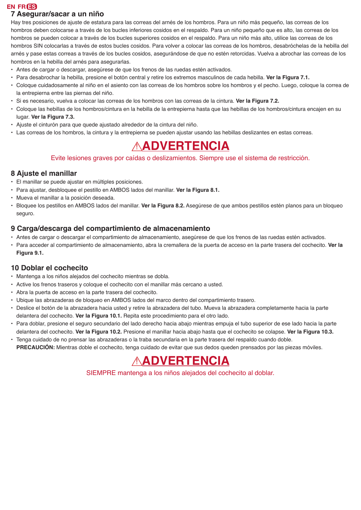#### **EN FR ES 7 Asegurar/sacar a un niño**

Hay tres posiciones de ajuste de estatura para las correas del arnés de los hombros. Para un niño más pequeño, las correas de los hombros deben colocarse a través de los bucles inferiores cosidos en el respaldo. Para un niño pequeño que es alto, las correas de los hombros se pueden colocar a través de los bucles superiores cosidos en el respaldo. Para un niño más alto, utilice las correas de los hombros SIN colocarlas a través de estos bucles cosidos. Para volver a colocar las correas de los hombros, desabróchelas de la hebilla del arnés y pase estas correas a través de los bucles cosidos, asegurándose de que no estén retorcidas. Vuelva a abrochar las correas de los hombros en la hebilla del arnés para asegurarlas.

- Antes de cargar o descargar, asegúrese de que los frenos de las ruedas estén activados.
- Para desabrochar la hebilla, presione el botón central y retire los extremos masculinos de cada hebilla. **Ver la Figura 7.1.**
- Coloque cuidadosamente al niño en el asiento con las correas de los hombros sobre los hombros y el pecho. Luego, coloque la correa de la entrepierna entre las piernas del niño.
- Si es necesario, vuelva a colocar las correas de los hombros con las correas de la cintura. **Ver la Figura 7.2.**
- Coloque las hebillas de los hombros/cintura en la hebilla de la entrepierna hasta que las hebillas de los hombros/cintura encajen en su lugar. **Ver la Figura 7.3.**
- Ajuste el cinturón para que quede ajustado alrededor de la cintura del niño.
- Las correas de los hombros, la cintura y la entrepierna se pueden ajustar usando las hebillas deslizantes en estas correas.

### ! **ADVERTENCIA**

Evite lesiones graves por caídas o deslizamientos. Siempre use el sistema de restricción.

#### **8 Ajuste el manillar**

- El manillar se puede ajustar en múltiples posiciones.
- Para ajustar, desbloquee el pestillo en AMBOS lados del manillar. **Ver la Figura 8.1.**
- Mueva el manillar a la posición deseada.
- Bloquee los pestillos en AMBOS lados del manillar. **Ver la Figura 8.2.** Asegúrese de que ambos pestillos estén planos para un bloqueo seguro.

#### **9 Carga/descarga del compartimiento de almacenamiento**

- Antes de cargar o descargar el compartimiento de almacenamiento, asegúrese de que los frenos de las ruedas estén activados.
- Para acceder al compartimiento de almacenamiento, abra la cremallera de la puerta de acceso en la parte trasera del cochecito. **Ver la Figura 9.1.**

#### **10 Doblar el cochecito**

- Mantenga a los niños alejados del cochecito mientras se dobla.
- Active los frenos traseros y coloque el cochecito con el manillar más cercano a usted.
- Abra la puerta de acceso en la parte trasera del cochecito.
- Ubique las abrazaderas de bloqueo en AMBOS lados del marco dentro del compartimiento trasero.
- Deslice el botón de la abrazadera hacia usted y retire la abrazadera del tubo. Mueva la abrazadera completamente hacia la parte delantera del cochecito. **Ver la Figura 10.1.** Repita este procedimiento para el otro lado.
- Para doblar, presione el seguro secundario del lado derecho hacia abajo mientras empuja el tubo superior de ese lado hacia la parte delantera del cochecito. **Ver la Figura 10.2.** Presione el manillar hacia abajo hasta que el cochecito se colapse. **Ver la Figura 10.3.**
- Tenga cuidado de no prensar las abrazaderas o la traba secundaria en la parte trasera del respaldo cuando doble. **PRECAUCIÓN:** Mientras doble el cochecito, tenga cuidado de evitar que sus dedos queden prensados por las piezas móviles.

# ! **ADVERTENCIA**

SIEMPRE mantenga a los niños alejados del cochecito al doblar.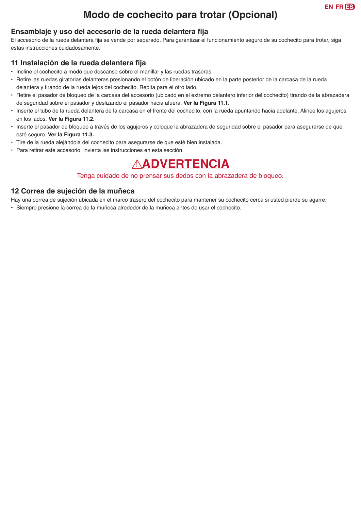### **Modo de cochecito para trotar (Opcional)**

#### **Ensamblaje y uso del accesorio de la rueda delantera fija**

El accesorio de la rueda delantera fija se vende por separado. Para garantizar el funcionamiento seguro de su cochecito para trotar, siga estas instrucciones cuidadosamente.

#### **11 Instalación de la rueda delantera fija**

- Incline el cochecito a modo que descanse sobre el manillar y las ruedas traseras.
- Retire las ruedas giratorias delanteras presionando el botón de liberación ubicado en la parte posterior de la carcasa de la rueda delantera y tirando de la rueda lejos del cochecito. Repita para el otro lado.
- Retire el pasador de bloqueo de la carcasa del accesorio (ubicado en el extremo delantero inferior del cochecito) tirando de la abrazadera de seguridad sobre el pasador y deslizando el pasador hacia afuera. **Ver la Figura 11.1.**
- Inserte el tubo de la rueda delantera de la carcasa en el frente del cochecito, con la rueda apuntando hacia adelante. Alinee los agujeros en los lados. **Ver la Figura 11.2.**
- Inserte el pasador de bloqueo a través de los agujeros y coloque la abrazadera de seguridad sobre el pasador para asegurarse de que esté seguro. **Ver la Figura 11.3.**
- Tire de la rueda alejándola del cochecito para asegurarse de que esté bien instalada.
- Para retirar este accesorio, invierta las instrucciones en esta sección.

### ! **ADVERTENCIA**

#### Tenga cuidado de no prensar sus dedos con la abrazadera de bloqueo.

#### **12 Correa de sujeción de la muñeca**

Hay una correa de sujeción ubicada en el marco trasero del cochecito para mantener su cochecito cerca si usted pierde su agarre.

• Siempre presione la correa de la muñeca alrededor de la muñeca antes de usar el cochecito.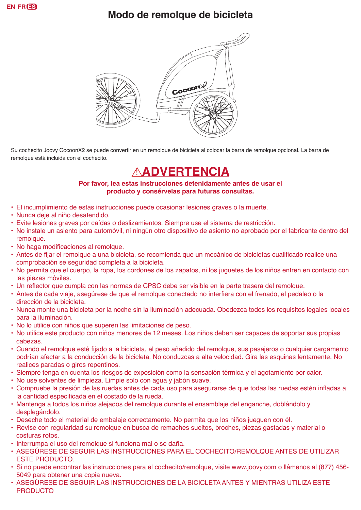### **Modo de remolque de bicicleta**



Su cochecito Joovy CocoonX2 se puede convertir en un remolque de bicicleta al colocar la barra de remolque opcional. La barra de remolque está incluida con el cochecito.

# ! **ADVERTENCIA**

**Por favor, lea estas instrucciones detenidamente antes de usar el producto y consérvelas para futuras consultas.**

- El incumplimiento de estas instrucciones puede ocasionar lesiones graves o la muerte.
- Nunca deje al niño desatendido.
- Evite lesiones graves por caídas o deslizamientos. Siempre use el sistema de restricción.
- No instale un asiento para automóvil, ni ningún otro dispositivo de asiento no aprobado por el fabricante dentro del remolque.
- No haga modificaciones al remolque.
- • Antes de fijar el remolque a una bicicleta, se recomienda que un mecánico de bicicletas cualificado realice una comprobación se seguridad completa a la bicicleta.
- No permita que el cuerpo, la ropa, los cordones de los zapatos, ni los juguetes de los niños entren en contacto con las piezas móviles.
- Un reflector que cumpla con las normas de CPSC debe ser visible en la parte trasera del remolque.
- • Antes de cada viaje, asegúrese de que el remolque conectado no interfiera con el frenado, el pedaleo o la dirección de la bicicleta.
- Nunca monte una bicicleta por la noche sin la iluminación adecuada. Obedezca todos los requisitos legales locales para la iluminación.
- No lo utilice con niños que superen las limitaciones de peso.
- No utilice este producto con niños menores de 12 meses. Los niños deben ser capaces de soportar sus propias cabezas.
- • Cuando el remolque esté fijado a la bicicleta, el peso añadido del remolque, sus pasajeros o cualquier cargamento podrían afectar a la conducción de la bicicleta. No conduzcas a alta velocidad. Gira las esquinas lentamente. No realices paradas o giros repentinos.
- Siempre tenga en cuenta los riesgos de exposición como la sensación térmica y el agotamiento por calor.
- No use solventes de limpieza. Limpie solo con agua y jabón suave.
- • Compruebe la presión de las ruedas antes de cada uso para asegurarse de que todas las ruedas estén infladas a la cantidad especificada en el costado de la rueda.
- Mantenga a todos los niños alejados del remolque durante el ensamblaje del enganche, doblándolo y desplegándolo.
- Deseche todo el material de embalaje correctamente. No permita que los niños jueguen con él.
- Revise con regularidad su remolque en busca de remaches sueltos, broches, piezas gastadas y material o costuras rotos.
- Interrumpa el uso del remolque si funciona mal o se daña.
- • ASEGÚRESE DE SEGUIR LAS INSTRUCCIONES PARA EL COCHECITO/REMOLQUE ANTES DE UTILIZAR ESTE PRODUCTO.
- Si no puede encontrar las instrucciones para el cochecito/remolque, visite www.joovy.com o llámenos al (877) 456- 5049 para obtener una copia nueva.
- ASEGÚRESE DE SEGUIR LAS INSTRUCCIONES DE LA BICICLETA ANTES Y MIENTRAS UTILIZA ESTE PRODUCTO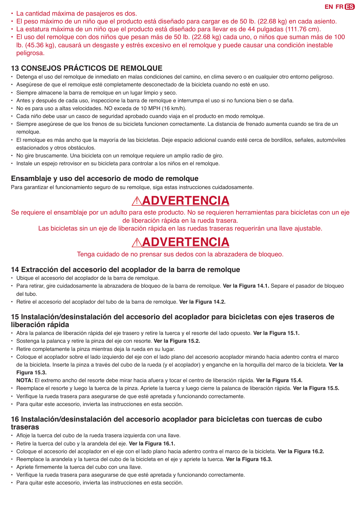- La cantidad máxima de pasajeros es dos.
- El peso máximo de un niño que el producto está diseñado para cargar es de 50 lb. (22.68 kg) en cada asiento.
- La estatura máxima de un niño que el producto está diseñado para llevar es de 44 pulgadas (111.76 cm).
- El uso del remolque con dos niños que pesan más de 50 lb. (22.68 kg) cada uno, o niños que suman más de 100 lb. (45.36 kg), causará un desgaste y estrés excesivo en el remolque y puede causar una condición inestable peligrosa.

#### **13 CONSEJOS PRÁCTICOS DE REMOLQUE**

- Detenga el uso del remolque de inmediato en malas condiciones del camino, en clima severo o en cualquier otro entorno peligroso.
- Asegúrese de que el remolque esté completamente desconectado de la bicicleta cuando no esté en uso.
- Siempre almacene la barra de remolque en un lugar limpio y seco.
- Antes y después de cada uso, inspeccione la barra de remolque e interrumpa el uso si no funciona bien o se daña.
- No es para uso a altas velocidades. NO exceda de 10 MPH (16 km/h).
- Cada niño debe usar un casco de seguridad aprobado cuando viaja en el producto en modo remolque.
- Siempre asegúrese de que los frenos de su bicicleta funcionen correctamente. La distancia de frenado aumenta cuando se tira de un remolque.
- El remolque es más ancho que la mayoría de las bicicletas. Deje espacio adicional cuando esté cerca de bordillos, señales, automóviles estacionados y otros obstáculos.
- No gire bruscamente. Una bicicleta con un remolque requiere un amplio radio de giro.
- Instale un espejo retrovisor en su bicicleta para controlar a los niños en el remolque.

#### **Ensamblaje y uso del accesorio de modo de remolque**

Para garantizar el funcionamiento seguro de su remolque, siga estas instrucciones cuidadosamente.

## ! **ADVERTENCIA**

Se requiere el ensamblaje por un adulto para este producto. No se requieren herramientas para bicicletas con un eje de liberación rápida en la rueda trasera.

Las bicicletas sin un eje de liberación rápida en las ruedas traseras requerirán una llave ajustable.

### ! **ADVERTENCIA**

Tenga cuidado de no prensar sus dedos con la abrazadera de bloqueo.

#### **14 Extracción del accesorio del acoplador de la barra de remolque**

- Ubique el accesorio del acoplador de la barra de remolque.
- Para retirar, gire cuidadosamente la abrazadera de bloqueo de la barra de remolque. **Ver la Figura 14.1.** Separe el pasador de bloqueo del tubo.
- Retire el accesorio del acoplador del tubo de la barra de remolque. **Ver la Figura 14.2.**

#### **15 Instalación/desinstalación del accesorio del acoplador para bicicletas con ejes traseros de liberación rápida**

- Abra la palanca de liberación rápida del eje trasero y retire la tuerca y el resorte del lado opuesto. **Ver la Figura 15.1.**
- Sostenga la palanca y retire la pinza del eje con resorte. **Ver la Figura 15.2.**
- Retire completamente la pinza mientras deja la rueda en su lugar.
- Coloque el acoplador sobre el lado izquierdo del eje con el lado plano del accesorio acoplador mirando hacia adentro contra el marco de la bicicleta. Inserte la pinza a través del cubo de la rueda (y el acoplador) y enganche en la horquilla del marco de la bicicleta. **Ver la Figura 15.3.**
- **NOTA:** El extremo ancho del resorte debe mirar hacia afuera y tocar el centro de liberación rápida. **Ver la Figura 15.4.**
- Reemplace el resorte y luego la tuerca de la pinza. Apriete la tuerca y luego cierre la palanca de liberación rápida. **Ver la Figura 15.5.**
- • Verifique la rueda trasera para asegurarse de que esté apretada y funcionando correctamente.
- Para quitar este accesorio, invierta las instrucciones en esta sección.

#### **16 Instalación/desinstalación del accesorio acoplador para bicicletas con tuercas de cubo traseras**

- • Afloje la tuerca del cubo de la rueda trasera izquierda con una llave.
- Retire la tuerca del cubo y la arandela del eje. **Ver la Figura 16.1.**
- Coloque el accesorio del acoplador en el eje con el lado plano hacia adentro contra el marco de la bicicleta. **Ver la Figura 16.2.**
- Reemplace la arandela y la tuerca del cubo de la bicicleta en el eje y apriete la tuerca. **Ver la Figura 16.3.**
- • Apriete firmemente la tuerca del cubo con una llave.
- • Verifique la rueda trasera para asegurarse de que esté apretada y funcionando correctamente.
- Para quitar este accesorio, invierta las instrucciones en esta sección.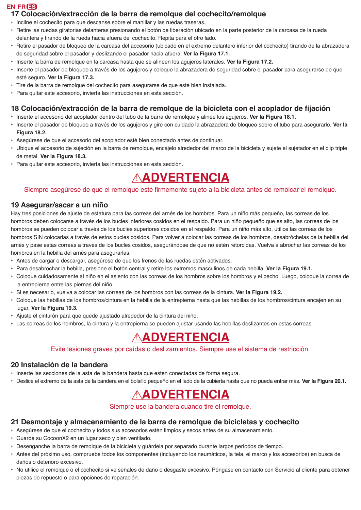#### **17 Colocación/extracción de la barra de remolque del cochecito/remolque**

- Incline el cochecito para que descanse sobre el manillar y las ruedas traseras.
- Retire las ruedas giratorias delanteras presionando el botón de liberación ubicado en la parte posterior de la carcasa de la rueda delantera y tirando de la rueda hacia afuera del cochecito. Repita para el otro lado.
- Retire el pasador de bloqueo de la carcasa del accesorio (ubicado en el extremo delantero inferior del cochecito) tirando de la abrazadera de seguridad sobre el pasador y deslizando el pasador hacia afuera. **Ver la Figura 17.1.**
- Inserte la barra de remolque en la carcasa hasta que se alineen los agujeros laterales. **Ver la Figura 17.2.**
- Inserte el pasador de bloqueo a través de los agujeros y coloque la abrazadera de seguridad sobre el pasador para asegurarse de que esté seguro. **Ver la Figura 17.3.**
- Tire de la barra de remolque del cochecito para asegurarse de que esté bien instalada.
- Para quitar este accesorio, invierta las instrucciones en esta sección.

#### **18 Colocación/extracción de la barra de remolque de la bicicleta con el acoplador de fijación**

- Inserte el accesorio del acoplador dentro del tubo de la barra de remolque y alinee los agujeros. **Ver la Figura 18.1.**
- Inserte el pasador de bloqueo a través de los agujeros y gire con cuidado la abrazadera de bloqueo sobre el tubo para asegurarlo. **Ver la Figura 18.2.**
- Asegúrese de que el accesorio del acoplador esté bien conectado antes de continuar.
- Ubique el accesorio de sujeción en la barra de remolque, encájelo alrededor del marco de la bicicleta y sujete el sujetador en el clip triple de metal. **Ver la Figura 18.3.**
- Para quitar este accesorio, invierta las instrucciones en esta sección.

# ! **ADVERTENCIA**

#### Siempre asegúrese de que el remolque esté firmemente sujeto a la bicicleta antes de remolcar el remolque.

#### **19 Asegurar/sacar a un niño**

Hay tres posiciones de ajuste de estatura para las correas del arnés de los hombros. Para un niño más pequeño, las correas de los hombros deben colocarse a través de los bucles inferiores cosidos en el respaldo. Para un niño pequeño que es alto, las correas de los hombros se pueden colocar a través de los bucles superiores cosidos en el respaldo. Para un niño más alto, utilice las correas de los hombros SIN colocarlas a través de estos bucles cosidos. Para volver a colocar las correas de los hombros, desabróchelas de la hebilla del arnés y pase estas correas a través de los bucles cosidos, asegurándose de que no estén retorcidas. Vuelva a abrochar las correas de los hombros en la hebilla del arnés para asegurarlas.

- Antes de cargar o descargar, asegúrese de que los frenos de las ruedas estén activados.
- Para desabrochar la hebilla, presione el botón central y retire los extremos masculinos de cada hebilla. **Ver la Figura 19.1.**
- Coloque cuidadosamente al niño en el asiento con las correas de los hombros sobre los hombros y el pecho. Luego, coloque la correa de la entrepierna entre las piernas del niño.
- Si es necesario, vuelva a colocar las correas de los hombros con las correas de la cintura. **Ver la Figura 19.2.**
- Coloque las hebillas de los hombros/cintura en la hebilla de la entrepierna hasta que las hebillas de los hombros/cintura encajen en su lugar. **Ver la Figura 19.3.**
- Ajuste el cinturón para que quede ajustado alrededor de la cintura del niño.
- Las correas de los hombros, la cintura y la entrepierna se pueden ajustar usando las hebillas deslizantes en estas correas.

### ! **ADVERTENCIA**

Evite lesiones graves por caídas o deslizamientos. Siempre use el sistema de restricción.

#### **20 Instalación de la bandera**

- Inserte las secciones de la asta de la bandera hasta que estén conectadas de forma segura.
- Deslice el extremo de la asta de la bandera en el bolsillo pequeño en el lado de la cubierta hasta que no pueda entrar más. **Ver la Figura 20.1.**

### ! **ADVERTENCIA**

Siempre use la bandera cuando tire el remolque.

#### **21 Desmontaje y almacenamiento de la barra de remolque de bicicletas y cochecito**

- Asegúrese de que el cochecito y todos sus accesorios estén limpios y secos antes de su almacenamiento.
- Guarde su CocoonX2 en un lugar seco y bien ventilado.
- Desenganche la barra de remolque de la bicicleta y guárdela por separado durante largos períodos de tiempo.
- Antes del próximo uso, compruebe todos los componentes (incluyendo los neumáticos, la tela, el marco y los accesorios) en busca de daños o deterioro excesivo.
- No utilice el remolque o el cochecito si ve señales de daño o desgaste excesivo. Póngase en contacto con Servicio al cliente para obtener piezas de repuesto o para opciones de reparación.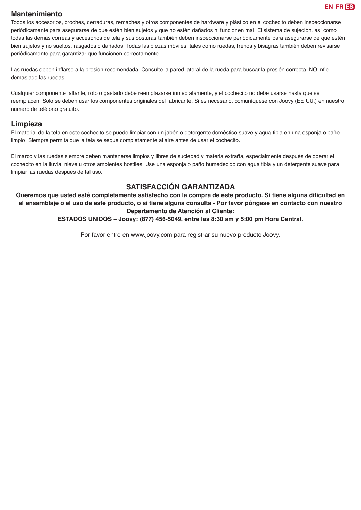#### **Mantenimiento**

Todos los accesorios, broches, cerraduras, remaches y otros componentes de hardware y plástico en el cochecito deben inspeccionarse periódicamente para asegurarse de que estén bien sujetos y que no estén dañados ni funcionen mal. El sistema de sujeción, así como todas las demás correas y accesorios de tela y sus costuras también deben inspeccionarse periódicamente para asegurarse de que estén bien sujetos y no sueltos, rasgados o dañados. Todas las piezas móviles, tales como ruedas, frenos y bisagras también deben revisarse periódicamente para garantizar que funcionen correctamente.

Las ruedas deben inflarse a la presión recomendada. Consulte la pared lateral de la rueda para buscar la presión correcta. NO infle demasiado las ruedas.

Cualquier componente faltante, roto o gastado debe reemplazarse inmediatamente, y el cochecito no debe usarse hasta que se reemplacen. Solo se deben usar los componentes originales del fabricante. Si es necesario, comuníquese con Joovy (EE.UU.) en nuestro número de teléfono gratuito.

#### **Limpieza**

El material de la tela en este cochecito se puede limpiar con un jabón o detergente doméstico suave y agua tibia en una esponja o paño limpio. Siempre permita que la tela se seque completamente al aire antes de usar el cochecito.

El marco y las ruedas siempre deben mantenerse limpios y libres de suciedad y materia extraña, especialmente después de operar el cochecito en la lluvia, nieve u otros ambientes hostiles. Use una esponja o paño humedecido con agua tibia y un detergente suave para limpiar las ruedas después de tal uso.

#### **SATISFACCIÓN GARANTIZADA**

**Queremos que usted esté completamente satisfecho con la compra de este producto. Si tiene alguna dificultad en el ensamblaje o el uso de este producto, o si tiene alguna consulta - Por favor póngase en contacto con nuestro Departamento de Atención al Cliente:**

**ESTADOS UNIDOS – Joovy: (877) 456-5049, entre las 8:30 am y 5:00 pm Hora Central.**

Por favor entre en www.joovy.com para registrar su nuevo producto Joovy.